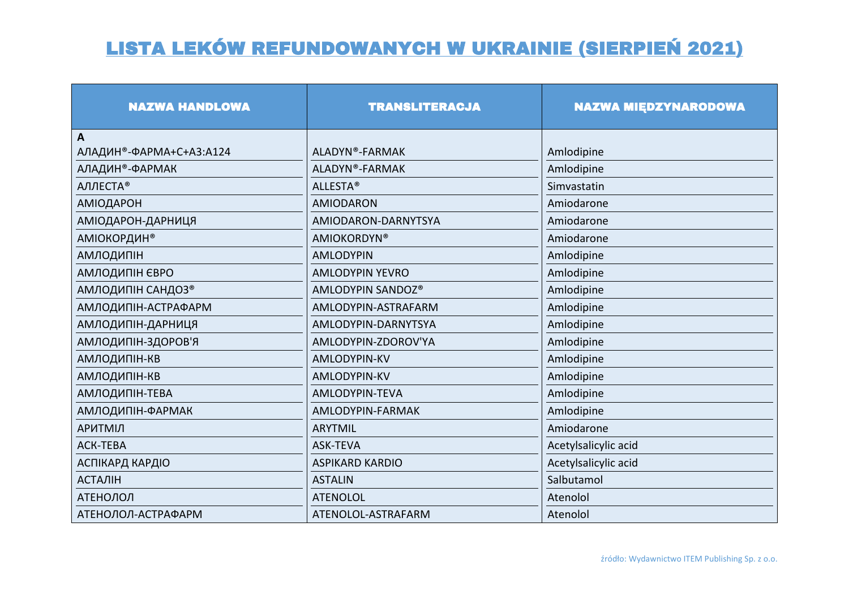| <b>NAZWA HANDLOWA</b>       | <b>TRANSLITERACJA</b>  | <b>NAZWA MIĘDZYNARODOWA</b> |
|-----------------------------|------------------------|-----------------------------|
| A                           |                        |                             |
| АЛАДИН®-ФАРМА+С+А3:А124     | ALADYN®-FARMAK         | Amlodipine                  |
| АЛАДИН <sup>®</sup> -ФАРМАК | ALADYN®-FARMAK         | Amlodipine                  |
| АЛЛЕСТА®                    | <b>ALLESTA®</b>        | Simvastatin                 |
| <b>АМІОДАРОН</b>            | <b>AMIODARON</b>       | Amiodarone                  |
| АМІОДАРОН-ДАРНИЦЯ           | AMIODARON-DARNYTSYA    | Amiodarone                  |
| <b>АМІОКОРДИН®</b>          | <b>AMIOKORDYN®</b>     | Amiodarone                  |
| <b>АМЛОДИПІН</b>            | <b>AMLODYPIN</b>       | Amlodipine                  |
| АМЛОДИПІН ЄВРО              | <b>AMLODYPIN YEVRO</b> | Amlodipine                  |
| АМЛОДИПІН САНДОЗ®           | AMLODYPIN SANDOZ®      | Amlodipine                  |
| АМЛОДИПІН-АСТРАФАРМ         | AMLODYPIN-ASTRAFARM    | Amlodipine                  |
| АМЛОДИПІН-ДАРНИЦЯ           | AMLODYPIN-DARNYTSYA    | Amlodipine                  |
| АМЛОДИПІН-ЗДОРОВ'Я          | AMLODYPIN-ZDOROV'YA    | Amlodipine                  |
| <b>АМЛОДИПІН-КВ</b>         | AMLODYPIN-KV           | Amlodipine                  |
| АМЛОДИПІН-КВ                | <b>AMLODYPIN-KV</b>    | Amlodipine                  |
| <b>АМЛОДИПІН-ТЕВА</b>       | AMLODYPIN-TEVA         | Amlodipine                  |
| АМЛОДИПІН-ФАРМАК            | AMLODYPIN-FARMAK       | Amlodipine                  |
| <b>АРИТМІЛ</b>              | <b>ARYTMIL</b>         | Amiodarone                  |
| <b>ACK-TEBA</b>             | <b>ASK-TEVA</b>        | Acetylsalicylic acid        |
| <b>АСПІКАРД КАРДІО</b>      | <b>ASPIKARD KARDIO</b> | Acetylsalicylic acid        |
| <b>АСТАЛІН</b>              | <b>ASTALIN</b>         | Salbutamol                  |
| <b>АТЕНОЛОЛ</b>             | <b>ATENOLOL</b>        | Atenolol                    |
| АТЕНОЛОЛ-АСТРАФАРМ          | ATENOLOL-ASTRAFARM     | Atenolol                    |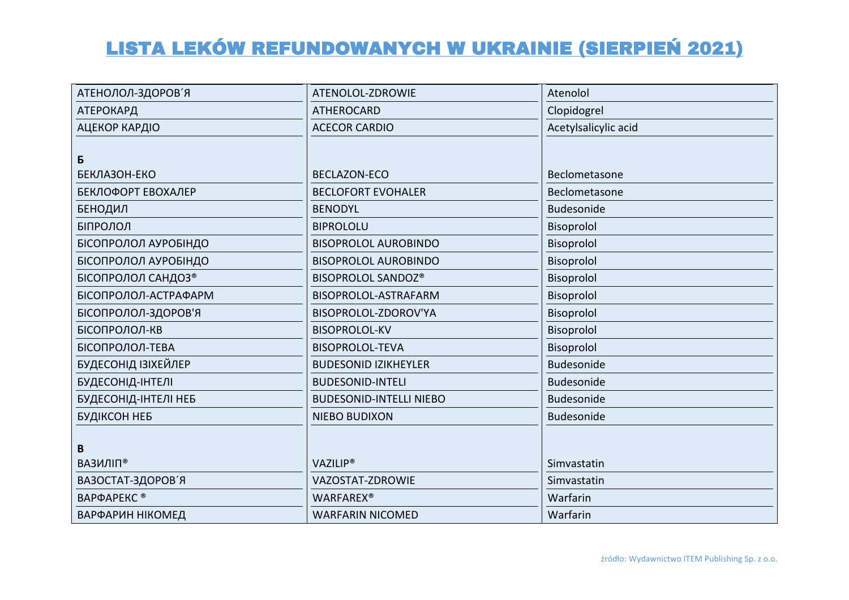| АТЕНОЛОЛ-ЗДОРОВ'Я              | ATENOLOL-ZDROWIE               | Atenolol             |
|--------------------------------|--------------------------------|----------------------|
| <b>АТЕРОКАРД</b>               | <b>ATHEROCARD</b>              | Clopidogrel          |
| АЦЕКОР КАРДІО                  | <b>ACECOR CARDIO</b>           | Acetylsalicylic acid |
|                                |                                |                      |
| Б                              |                                |                      |
| БЕКЛАЗОН-ЕКО                   | <b>BECLAZON-ECO</b>            | Beclometasone        |
| БЕКЛОФОРТ ЕВОХАЛЕР             | <b>BECLOFORT EVOHALER</b>      | Beclometasone        |
| <b>БЕНОДИЛ</b>                 | <b>BENODYL</b>                 | Budesonide           |
| БІПРОЛОЛ                       | <b>BIPROLOLU</b>               | Bisoprolol           |
| БІСОПРОЛОЛ АУРОБІНДО           | <b>BISOPROLOL AUROBINDO</b>    | Bisoprolol           |
| БІСОПРОЛОЛ АУРОБІНДО           | <b>BISOPROLOL AUROBINDO</b>    | Bisoprolol           |
| БІСОПРОЛОЛ САНДОЗ <sup>®</sup> | BISOPROLOL SANDOZ®             | Bisoprolol           |
| БІСОПРОЛОЛ-АСТРАФАРМ           | BISOPROLOL-ASTRAFARM           | Bisoprolol           |
| БІСОПРОЛОЛ-ЗДОРОВ'Я            | BISOPROLOL-ZDOROV'YA           | Bisoprolol           |
| БІСОПРОЛОЛ-КВ                  | <b>BISOPROLOL-KV</b>           | Bisoprolol           |
| БІСОПРОЛОЛ-ТЕВА                | <b>BISOPROLOL-TEVA</b>         | Bisoprolol           |
| БУДЕСОНІД ІЗІХЕЙЛЕР            | <b>BUDESONID IZIKHEYLER</b>    | <b>Budesonide</b>    |
| БУДЕСОНІД-ІНТЕЛІ               | <b>BUDESONID-INTELI</b>        | Budesonide           |
| БУДЕСОНІД-ІНТЕЛІ НЕБ           | <b>BUDESONID-INTELLI NIEBO</b> | <b>Budesonide</b>    |
| БУДІКСОН НЕБ                   | <b>NIEBO BUDIXON</b>           | Budesonide           |
|                                |                                |                      |
| B                              |                                |                      |
| ВАЗИЛІП®                       | <b>VAZILIP®</b>                | Simvastatin          |
| ВАЗОСТАТ-ЗДОРОВ'Я              | VAZOSTAT-ZDROWIE               | Simvastatin          |
| ВАРФАРЕКС <sup>®</sup>         | <b>WARFAREX®</b>               | Warfarin             |
| ВАРФАРИН НІКОМЕД               | <b>WARFARIN NICOMED</b>        | Warfarin             |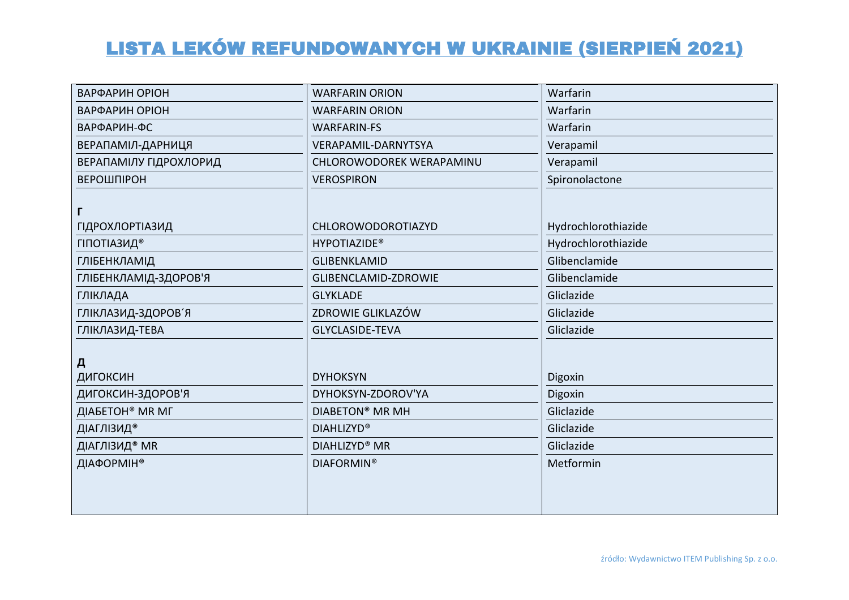| ВАРФАРИН ОРІОН              | <b>WARFARIN ORION</b>       | Warfarin            |
|-----------------------------|-----------------------------|---------------------|
| ВАРФАРИН ОРІОН              | <b>WARFARIN ORION</b>       | Warfarin            |
| ВАРФАРИН-ФС                 | <b>WARFARIN-FS</b>          | Warfarin            |
| ВЕРАПАМІЛ-ДАРНИЦЯ           | VERAPAMIL-DARNYTSYA         | Verapamil           |
| ВЕРАПАМІЛУ ГІДРОХЛОРИД      | CHLOROWODOREK WERAPAMINU    | Verapamil           |
| ВЕРОШПІРОН                  | <b>VEROSPIRON</b>           | Spironolactone      |
|                             |                             |                     |
| Г                           |                             |                     |
| <b>ГІДРОХЛОРТІАЗИД</b>      | CHLOROWODOROTIAZYD          | Hydrochlorothiazide |
| ГІПОТІАЗИД <sup>®</sup>     | <b>HYPOTIAZIDE®</b>         | Hydrochlorothiazide |
| ГЛІБЕНКЛАМІД                | <b>GLIBENKLAMID</b>         | Glibenclamide       |
| ГЛІБЕНКЛАМІД-ЗДОРОВ'Я       | <b>GLIBENCLAMID-ZDROWIE</b> | Glibenclamide       |
| ГЛІКЛАДА                    | <b>GLYKLADE</b>             | Gliclazide          |
| ГЛІКЛАЗИД-ЗДОРОВ'Я          | ZDROWIE GLIKLAZÓW           | Gliclazide          |
| ГЛІКЛАЗИД-ТЕВА              | <b>GLYCLASIDE-TEVA</b>      | Gliclazide          |
|                             |                             |                     |
| Д                           |                             |                     |
| ДИГОКСИН                    | <b>DYHOKSYN</b>             | Digoxin             |
| ДИГОКСИН-ЗДОРОВ'Я           | DYHOKSYN-ZDOROV'YA          | Digoxin             |
| ДІАБЕТОН <sup>®</sup> МК МГ | <b>DIABETON® MR MH</b>      | Gliclazide          |
| ДІАГЛІЗИД®                  | <b>DIAHLIZYD®</b>           | Gliclazide          |
| ДІАГЛІЗИД <sup>®</sup> МК   | <b>DIAHLIZYD® MR</b>        | Gliclazide          |
| ДІАФОРМІН®                  | <b>DIAFORMIN®</b>           | Metformin           |
|                             |                             |                     |
|                             |                             |                     |
|                             |                             |                     |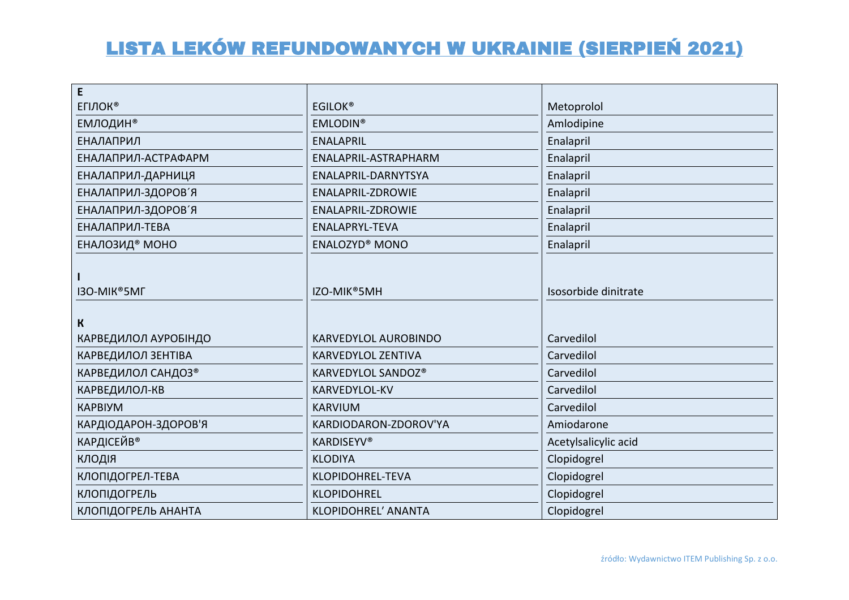| E                     |                             |                      |
|-----------------------|-----------------------------|----------------------|
| <b>ЕГІЛОК®</b>        | <b>EGILOK®</b>              | Metoprolol           |
| <b>ЕМЛОДИН®</b>       | <b>EMLODIN®</b>             | Amlodipine           |
| <b>ЕНАЛАПРИЛ</b>      | <b>ENALAPRIL</b>            | Enalapril            |
| ЕНАЛАПРИЛ-АСТРАФАРМ   | ENALAPRIL-ASTRAPHARM        | Enalapril            |
| ЕНАЛАПРИЛ-ДАРНИЦЯ     | ENALAPRIL-DARNYTSYA         | Enalapril            |
| ЕНАЛАПРИЛ-ЗДОРОВ'Я    | ENALAPRIL-ZDROWIE           | Enalapril            |
| ЕНАЛАПРИЛ-ЗДОРОВ'Я    | <b>ENALAPRIL-ZDROWIE</b>    | Enalapril            |
| ЕНАЛАПРИЛ-ТЕВА        | ENALAPRYL-TEVA              | Enalapril            |
| <b>ЕНАЛОЗИД® МОНО</b> | <b>ENALOZYD® MONO</b>       | Enalapril            |
| I3O-MIK®5MF           | IZO-MIK <sup>®</sup> 5MH    | Isosorbide dinitrate |
| $\mathbf k$           |                             |                      |
| КАРВЕДИЛОЛ АУРОБІНДО  | <b>KARVEDYLOL AUROBINDO</b> | Carvedilol           |
| КАРВЕДИЛОЛ ЗЕНТІВА    | <b>KARVEDYLOL ZENTIVA</b>   | Carvedilol           |
| КАРВЕДИЛОЛ САНДОЗ®    | KARVEDYLOL SANDOZ®          | Carvedilol           |
| КАРВЕДИЛОЛ-КВ         | KARVEDYLOL-KV               | Carvedilol           |
| <b>KAPBIYM</b>        | <b>KARVIUM</b>              | Carvedilol           |
| КАРДІОДАРОН-ЗДОРОВ'Я  | KARDIODARON-ZDOROV'YA       | Amiodarone           |
| <b>КАРДІСЕЙВ®</b>     | <b>KARDISEYV®</b>           | Acetylsalicylic acid |
| КЛОДІЯ                | <b>KLODIYA</b>              | Clopidogrel          |
| КЛОПІДОГРЕЛ-ТЕВА      | KLOPIDOHREL-TEVA            | Clopidogrel          |
| КЛОПІДОГРЕЛЬ          | <b>KLOPIDOHREL</b>          | Clopidogrel          |
|                       |                             |                      |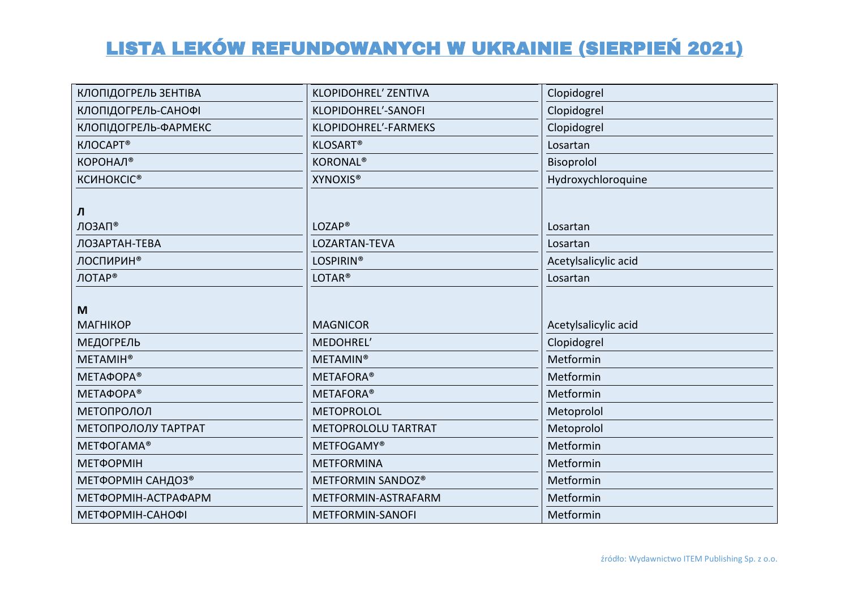| КЛОПІДОГРЕЛЬ ЗЕНТІВА | <b>KLOPIDOHREL' ZENTIVA</b> | Clopidogrel          |
|----------------------|-----------------------------|----------------------|
| КЛОПІДОГРЕЛЬ-САНОФІ  | KLOPIDOHREL'-SANOFI         | Clopidogrel          |
| КЛОПІДОГРЕЛЬ-ФАРМЕКС | KLOPIDOHREL'-FARMEKS        | Clopidogrel          |
| КЛОСАРТ <sup>®</sup> | <b>KLOSART®</b>             | Losartan             |
| КОРОНАЛ <sup>®</sup> | <b>KORONAL®</b>             | Bisoprolol           |
| <b>КСИНОКСІС®</b>    | <b>XYNOXIS®</b>             | Hydroxychloroquine   |
|                      |                             |                      |
| Л                    |                             |                      |
| ЛОЗАП®               | LOZAP <sup>®</sup>          | Losartan             |
| ЛОЗАРТАН-ТЕВА        | LOZARTAN-TEVA               | Losartan             |
| <b>ЛОСПИРИН®</b>     | <b>LOSPIRIN®</b>            | Acetylsalicylic acid |
| ЛОТАР®               | LOTAR <sup>®</sup>          | Losartan             |
|                      |                             |                      |
| M                    |                             |                      |
| <b>MATHIKOP</b>      | <b>MAGNICOR</b>             | Acetylsalicylic acid |
| <b>МЕДОГРЕЛЬ</b>     | MEDOHREL'                   | Clopidogrel          |
| <b>METAMIH®</b>      | <b>METAMIN®</b>             | Metformin            |
| <b>МЕТАФОРА®</b>     | <b>METAFORA®</b>            | Metformin            |
| <b>МЕТАФОРА®</b>     | <b>METAFORA®</b>            | Metformin            |
| МЕТОПРОЛОЛ           | <b>METOPROLOL</b>           | Metoprolol           |
| МЕТОПРОЛОЛУ ТАРТРАТ  | <b>METOPROLOLU TARTRAT</b>  | Metoprolol           |
| <b>МЕТФОГАМА®</b>    | <b>METFOGAMY®</b>           | Metformin            |
| <b>МЕТФОРМІН</b>     | <b>METFORMINA</b>           | Metformin            |
| МЕТФОРМІН САНДОЗ®    | METFORMIN SANDOZ®           | Metformin            |
| ΜΕΤΦΟΡΜΙΗ-ΑΣΤΡΑΦΑΡΜ  | METFORMIN-ASTRAFARM         | Metformin            |
| ΜΕΤΦΟΡΜΙΗ-CΑΗΟΦΙ     | METFORMIN-SANOFI            | Metformin            |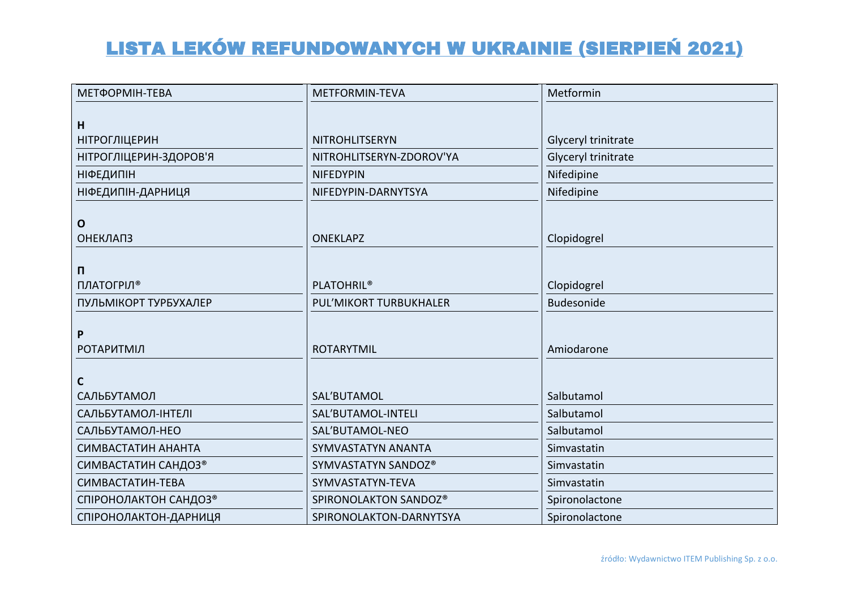| МЕТФОРМІН-ТЕВА           | METFORMIN-TEVA           | Metformin           |
|--------------------------|--------------------------|---------------------|
|                          |                          |                     |
| H                        |                          |                     |
| <b>НІТРОГЛІЦЕРИН</b>     | NITROHLITSERYN           | Glyceryl trinitrate |
| НІТРОГЛІЦЕРИН-ЗДОРОВ'Я   | NITROHLITSERYN-ZDOROV'YA | Glyceryl trinitrate |
| <b>НІФЕДИПІН</b>         | <b>NIFEDYPIN</b>         | Nifedipine          |
| <b>НІФЕДИПІН-ДАРНИЦЯ</b> | NIFEDYPIN-DARNYTSYA      | Nifedipine          |
|                          |                          |                     |
| $\mathbf{o}$             |                          |                     |
| <b>ОНЕКЛАПЗ</b>          | <b>ONEKLAPZ</b>          | Clopidogrel         |
|                          |                          |                     |
| П                        |                          |                     |
| ПЛАТОГРІЛ <sup>®</sup>   | <b>PLATOHRIL®</b>        | Clopidogrel         |
| ПУЛЬМІКОРТ ТУРБУХАЛЕР    | PUL'MIKORT TURBUKHALER   | <b>Budesonide</b>   |
|                          |                          |                     |
| P                        |                          |                     |
| <b>РОТАРИТМІЛ</b>        | <b>ROTARYTMIL</b>        | Amiodarone          |
|                          |                          |                     |
| $\mathsf{C}$             |                          |                     |
| САЛЬБУТАМОЛ              | SAL'BUTAMOL              | Salbutamol          |
| САЛЬБУТАМОЛ-ІНТЕЛІ       | SAL'BUTAMOL-INTELI       | Salbutamol          |
| САЛЬБУТАМОЛ-НЕО          | SAL'BUTAMOL-NEO          | Salbutamol          |
| СИМВАСТАТИН АНАНТА       | SYMVASTATYN ANANTA       | Simvastatin         |
| СИМВАСТАТИН САНДОЗ®      | SYMVASTATYN SANDOZ®      | Simvastatin         |
| СИМВАСТАТИН-ТЕВА         | SYMVASTATYN-TEVA         | Simvastatin         |
| СПІРОНОЛАКТОН САНДОЗ®    | SPIRONOLAKTON SANDOZ®    | Spironolactone      |
| СПІРОНОЛАКТОН-ДАРНИЦЯ    | SPIRONOLAKTON-DARNYTSYA  | Spironolactone      |